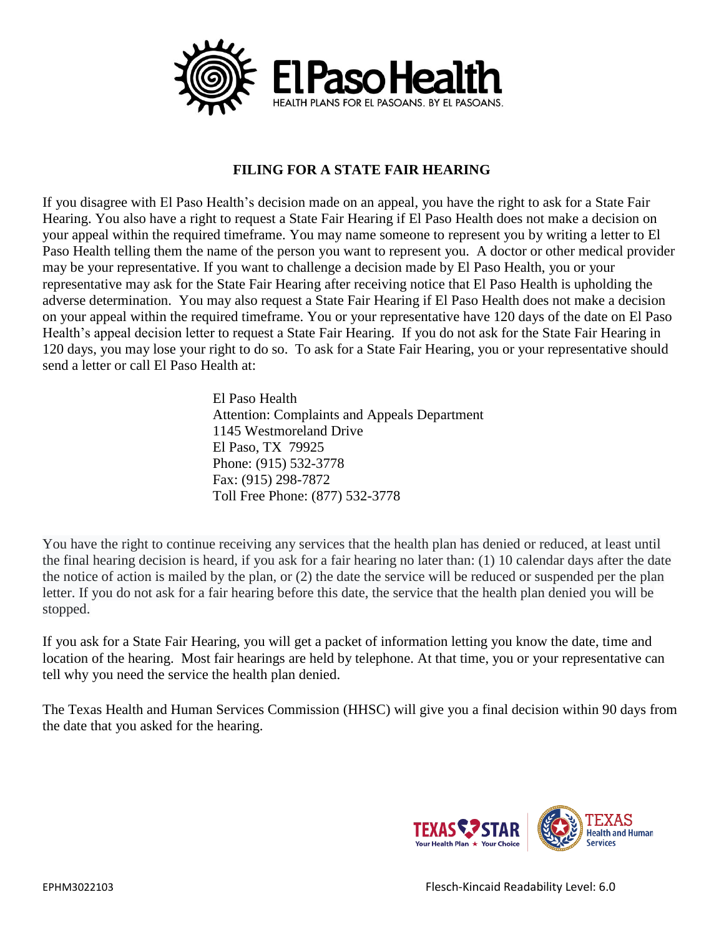

## **FILING FOR A STATE FAIR HEARING**

If you disagree with El Paso Health's decision made on an appeal, you have the right to ask for a State Fair Hearing. You also have a right to request a State Fair Hearing if El Paso Health does not make a decision on your appeal within the required timeframe. You may name someone to represent you by writing a letter to El Paso Health telling them the name of the person you want to represent you. A doctor or other medical provider may be your representative. If you want to challenge a decision made by El Paso Health, you or your representative may ask for the State Fair Hearing after receiving notice that El Paso Health is upholding the adverse determination. You may also request a State Fair Hearing if El Paso Health does not make a decision on your appeal within the required timeframe. You or your representative have 120 days of the date on El Paso Health's appeal decision letter to request a State Fair Hearing. If you do not ask for the State Fair Hearing in 120 days, you may lose your right to do so. To ask for a State Fair Hearing, you or your representative should send a letter or call El Paso Health at:

> El Paso Health Attention: Complaints and Appeals Department 1145 Westmoreland Drive El Paso, TX 79925 Phone: (915) 532-3778 Fax: (915) 298-7872 Toll Free Phone: (877) 532-3778

You have the right to continue receiving any services that the health plan has denied or reduced, at least until the final hearing decision is heard, if you ask for a fair hearing no later than: (1) 10 calendar days after the date the notice of action is mailed by the plan, or (2) the date the service will be reduced or suspended per the plan letter. If you do not ask for a fair hearing before this date, the service that the health plan denied you will be stopped.

If you ask for a State Fair Hearing, you will get a packet of information letting you know the date, time and location of the hearing. Most fair hearings are held by telephone. At that time, you or your representative can tell why you need the service the health plan denied.

The Texas Health and Human Services Commission (HHSC) will give you a final decision within 90 days from the date that you asked for the hearing.

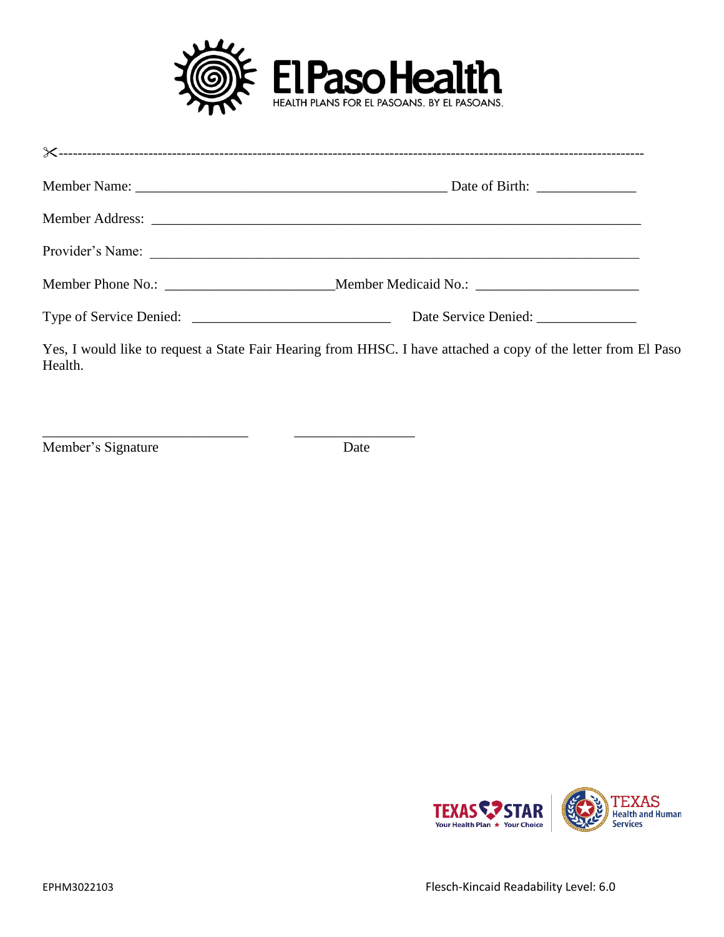

| Date Service Denied: ______________                                                                            |
|----------------------------------------------------------------------------------------------------------------|
| Yes, I would like to request a State Fair Hearing from HHSC. I have attached a copy of the letter from El Paso |

\_\_\_\_\_\_\_\_\_\_\_\_\_\_\_\_\_\_\_\_\_\_\_\_\_\_\_\_\_ \_\_\_\_\_\_\_\_\_\_\_\_\_\_\_\_\_ Member's Signature Date

Health.